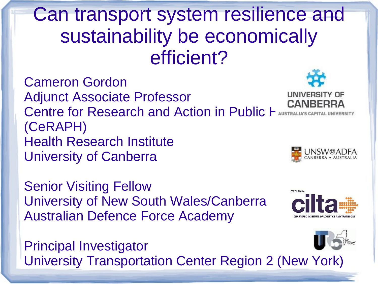Can transport system resilience and sustainability be economically efficient?

Cameron Gordon Adjunct Associate Professor Centre for Research and Action in Public H (CeRAPH) Health Research Institute University of Canberra

Senior Visiting Fellow University of New South Wales/Canberra Australian Defence Force Academy

Principal Investigator University Transportation Center Region 2 (New York)



CEPTICIED BY





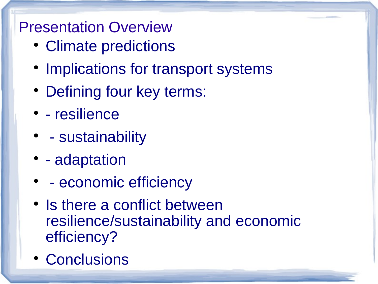#### Presentation Overview

- Climate predictions
- Implications for transport systems
- Defining four key terms:
- - resilience
- - sustainability
- - adaptation
- - economic efficiency
- Is there a conflict between resilience/sustainability and economic efficiency?
- Conclusions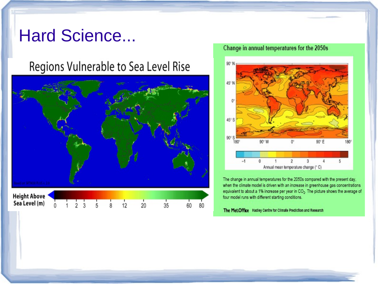### **Hard Science...**

#### Regions Vulnerable to Sea Level Rise



#### Change in annual temperatures for the 2050s



The change in annual temperatures for the 2050s compared with the present day, when the climate model is driven with an increase in greenhouse gas concentrations equivalent to about a 1% increase per year in CO<sub>2</sub>. The picture shows the average of four model runs with different starting conditions.

The Met.Office Hadley Centre for Climate Prediction and Research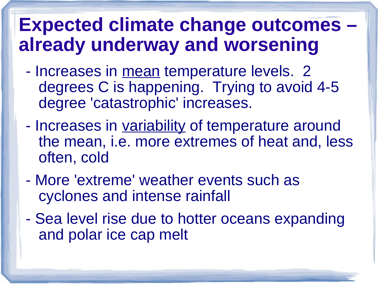# **Expected climate change outcomes – already underway and worsening**

- Increases in mean temperature levels. 2 degrees C is happening. Trying to avoid 4-5 degree 'catastrophic' increases.
- Increases in variability of temperature around the mean, i.e. more extremes of heat and, less often, cold
- More 'extreme' weather events such as cyclones and intense rainfall
- Sea level rise due to hotter oceans expanding and polar ice cap melt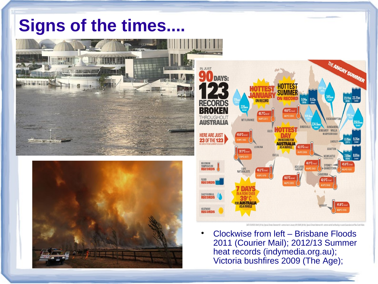## **Signs of the times....**







 Clockwise from left – Brisbane Floods 2011 (Courier Mail); 2012/13 Summer heat records (indymedia.org.au); Victoria bushfires 2009 (The Age);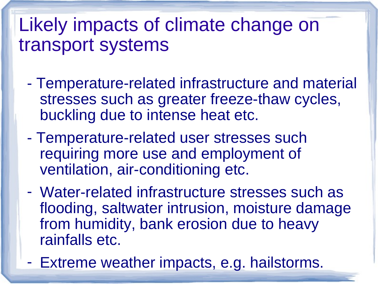# Likely impacts of climate change on transport systems

- Temperature-related infrastructure and material stresses such as greater freeze-thaw cycles, buckling due to intense heat etc.
- Temperature-related user stresses such requiring more use and employment of ventilation, air-conditioning etc.
- Water-related infrastructure stresses such as flooding, saltwater intrusion, moisture damage from humidity, bank erosion due to heavy rainfalls etc.
- Extreme weather impacts, e.g. hailstorms.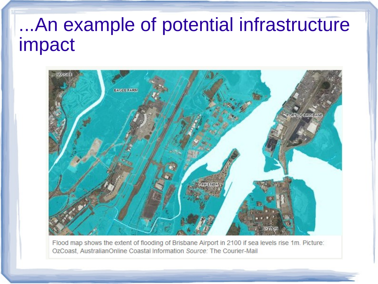# ...An example of potential infrastructure impact



Flood map shows the extent of flooding of Brisbane Airport in 2100 if sea levels rise 1m. Picture: OzCoast, AustralianOnline Coastal Information Source: The Courier-Mail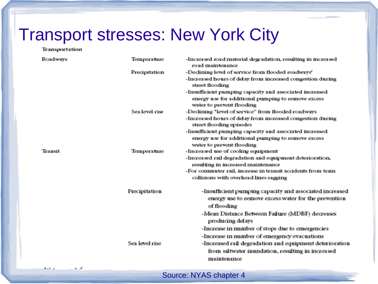### Transport stresses: New York City

#### Transportation

| <b>Roadways</b>   | Temperature          | -Increased road material degradation, resulting in increased<br>road maintenance                                                           |
|-------------------|----------------------|--------------------------------------------------------------------------------------------------------------------------------------------|
|                   | <b>Precipitation</b> | -Declining level of service from flooded roadways <sup>e</sup>                                                                             |
|                   |                      | -Increased hours of delay from increased congestion during<br>street flooding                                                              |
|                   |                      | -Insufficient pumping capacity and associated increased<br>energy use for additional pumping to remove excess<br>water to prevent flooding |
|                   | Sea level rise       | -Declining 'level of service" from flooded roadways                                                                                        |
|                   |                      | -Increased hours of delay from increased congestion during<br>street flooding episodes                                                     |
|                   |                      | -Insufficient pumping capacity and associated increased<br>energy use for additional pumping to remove excess<br>water to prevent flooding |
| <b>Transit</b>    | Temperature          | -Increased use of cooling equipment                                                                                                        |
|                   |                      | -Increased rail degradation and equipment deterioration,<br>resulting in increased maintenance                                             |
|                   |                      | -For commuter rail, increase in transit accidents from train<br>collisions with overhead lines sagging                                     |
|                   | Precipitation        | -Insufficient pumping capacity and associated increased<br>energy use to remove excess water for the prevention<br>of flooding             |
|                   |                      | -Mean Distance Between Failure (MDBF) decreases<br>producing delays                                                                        |
|                   |                      | -Increase in number of stops due to emergencies                                                                                            |
|                   |                      | -Increase in number of emergency evacuations                                                                                               |
|                   | Sea level rise       | -Increased rail degradation and equipment deterioration                                                                                    |
|                   |                      | from saltwater inundation, resulting in increased<br>maintenance                                                                           |
| man a company and |                      |                                                                                                                                            |

Source: NYAS chapter 4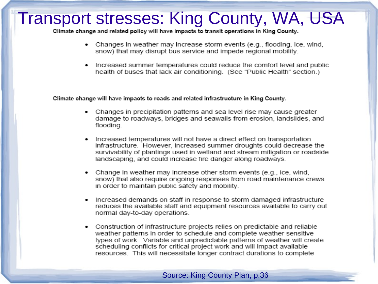## **Transport stresses: King County, WA, USA**

Climate change and related policy will have impacts to transit operations in King County.

- Changes in weather may increase storm events (e.g., flooding, ice, wind, snow) that may disrupt bus service and impede regional mobility.
- Increased summer temperatures could reduce the comfort level and public health of buses that lack air conditioning. (See "Public Health" section.)

#### Climate change will have impacts to roads and related infrastructure in King County.

- Changes in precipitation patterns and sea level rise may cause greater damage to roadways, bridges and seawalls from erosion, landslides, and flooding.
- Increased temperatures will not have a direct effect on transportation infrastructure. However, increased summer droughts could decrease the survivability of plantings used in wetland and stream mitigation or roadside landscaping, and could increase fire danger along roadways.
- Change in weather may increase other storm events (e.g., ice, wind, snow) that also require ongoing responses from road maintenance crews in order to maintain public safety and mobility.
- Increased demands on staff in response to storm damaged infrastructure reduces the available staff and equipment resources available to carry out normal day-to-day operations.
- Construction of infrastructure projects relies on predictable and reliable weather patterns in order to schedule and complete weather sensitive types of work. Variable and unpredictable patterns of weather will create scheduling conflicts for critical project work and will impact available resources. This will necessitate longer contract durations to complete

Source: King County Plan, p.36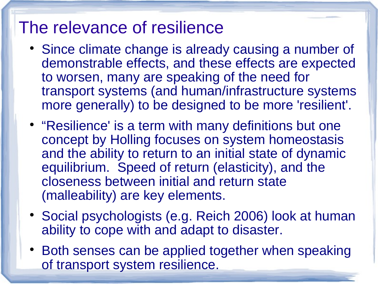## The relevance of resilience

- Since climate change is already causing a number of demonstrable effects, and these effects are expected to worsen, many are speaking of the need for transport systems (and human/infrastructure systems more generally) to be designed to be more 'resilient'.
- "Resilience' is a term with many definitions but one concept by Holling focuses on system homeostasis and the ability to return to an initial state of dynamic equilibrium. Speed of return (elasticity), and the closeness between initial and return state (malleability) are key elements.
- Social psychologists (e.g. Reich 2006) look at human ability to cope with and adapt to disaster.
- Both senses can be applied together when speaking of transport system resilience.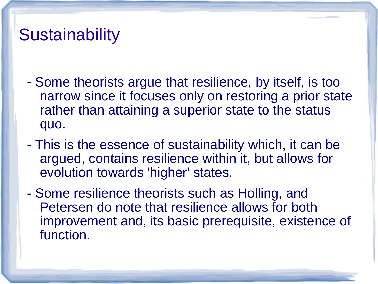## **Sustainability**

- Some theorists argue that resilience, by itself, is too narrow since it focuses only on restoring a prior state rather than attaining a superior state to the status quo.
- This is the essence of sustainability which, it can be argued, contains resilience within it, but allows for evolution towards 'higher' states.
- Some resilience theorists such as Holling, and Petersen do note that resilience allows for both improvement and, its basic prerequisite, existence of function.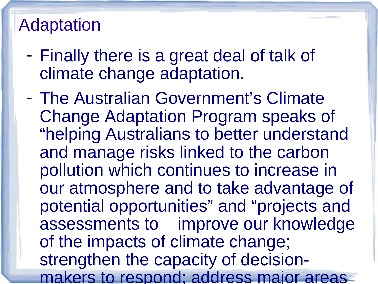## Adaptation

- Finally there is a great deal of talk of climate change adaptation.
- The Australian Government's Climate Change Adaptation Program speaks of "helping Australians to better understand and manage risks linked to the carbon pollution which continues to increase in our atmosphere and to take advantage of potential opportunities" and "projects and assessments to improve our knowledge of the impacts of climate change; strengthen the capacity of decisionmakers to respond; address major areas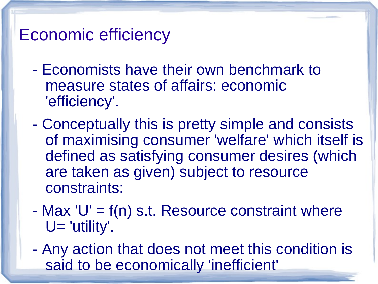## Economic efficiency

- Economists have their own benchmark to measure states of affairs: economic 'efficiency'.
- Conceptually this is pretty simple and consists of maximising consumer 'welfare' which itself is defined as satisfying consumer desires (which are taken as given) subject to resource constraints:
- $-Max'U' = f(n)$  s.t. Resource constraint where U= 'utility'.
- Any action that does not meet this condition is said to be economically 'inefficient'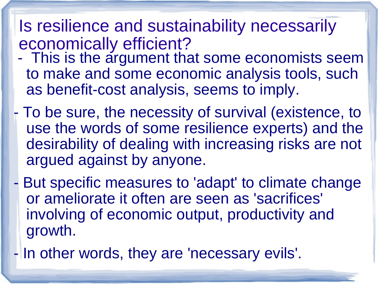### Is resilience and sustainability necessarily economically efficient?

- This is the argument that some economists seem to make and some economic analysis tools, such as benefit-cost analysis, seems to imply.
- To be sure, the necessity of survival (existence, to use the words of some resilience experts) and the desirability of dealing with increasing risks are not argued against by anyone.
- But specific measures to 'adapt' to climate change or ameliorate it often are seen as 'sacrifices' involving of economic output, productivity and growth.
- In other words, they are 'necessary evils'.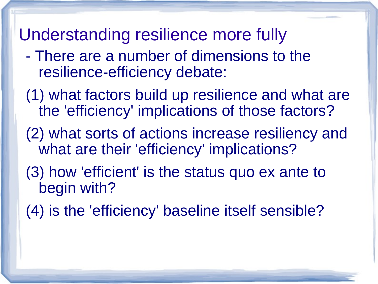### Understanding resilience more fully

- There are a number of dimensions to the resilience-efficiency debate:
- (1) what factors build up resilience and what are the 'efficiency' implications of those factors?
- (2) what sorts of actions increase resiliency and what are their 'efficiency' implications?
- (3) how 'efficient' is the status quo ex ante to begin with?
- (4) is the 'efficiency' baseline itself sensible?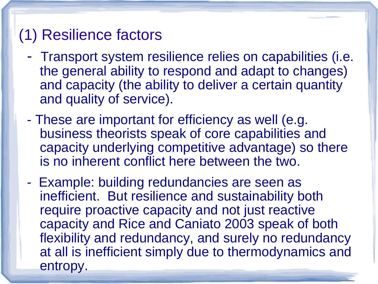#### (1) Resilience factors

- Transport system resilience relies on capabilities (i.e. the general ability to respond and adapt to changes) and capacity (the ability to deliver a certain quantity and quality of service).
- These are important for efficiency as well (e.g. business theorists speak of core capabilities and capacity underlying competitive advantage) so there is no inherent conflict here between the two.
- Example: building redundancies are seen as inefficient. But resilience and sustainability both require proactive capacity and not just reactive capacity and Rice and Caniato 2003 speak of both flexibility and redundancy, and surely no redundancy at all is inefficient simply due to thermodynamics and entropy.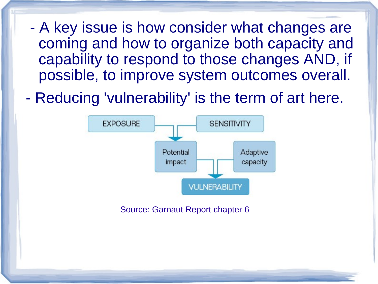- A key issue is how consider what changes are coming and how to organize both capacity and capability to respond to those changes AND, if possible, to improve system outcomes overall.
- Reducing 'vulnerability' is the term of art here.



Source: Garnaut Report chapter 6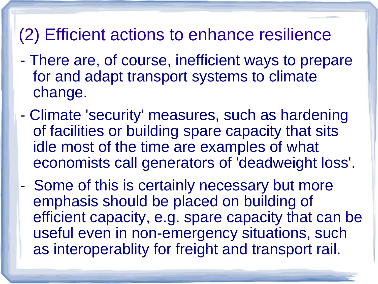## (2) Efficient actions to enhance resilience

- There are, of course, inefficient ways to prepare for and adapt transport systems to climate change.
- Climate 'security' measures, such as hardening of facilities or building spare capacity that sits idle most of the time are examples of what economists call generators of 'deadweight loss'.
- Some of this is certainly necessary but more emphasis should be placed on building of efficient capacity, e.g. spare capacity that can be useful even in non-emergency situations, such as interoperablity for freight and transport rail.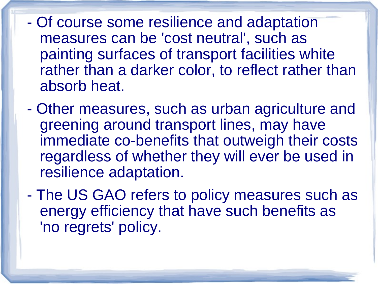- Of course some resilience and adaptation measures can be 'cost neutral', such as painting surfaces of transport facilities white rather than a darker color, to reflect rather than absorb heat.

- Other measures, such as urban agriculture and greening around transport lines, may have immediate co-benefits that outweigh their costs regardless of whether they will ever be used in resilience adaptation.
- The US GAO refers to policy measures such as energy efficiency that have such benefits as 'no regrets' policy.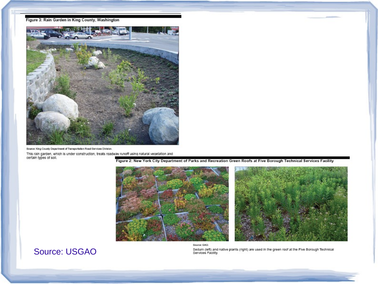



Source: King County Department of Transportation Road Services Division.

This rain garden, which is under construction, treats roadway runoff using natural vegetation and<br>certain types of soil.

Figure 2: New York City Department of Parks and Recreation Green Roofs at Five Borough Technical Services Facility



#### **Source: USGAO**

Sedum (left) and native plants (right) are used in the green roof at the Five Borough Technical<br>Services Facility.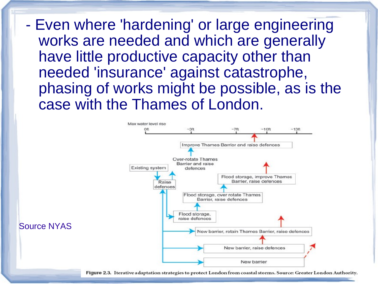- Even where 'hardening' or large engineering works are needed and which are generally have little productive capacity other than needed 'insurance' against catastrophe, phasing of works might be possible, as is the case with the Thames of London.



Source NYAS

Figure 2.3. Iterative adaptation strategies to protect London from coastal storms. Source: Greater London Authority.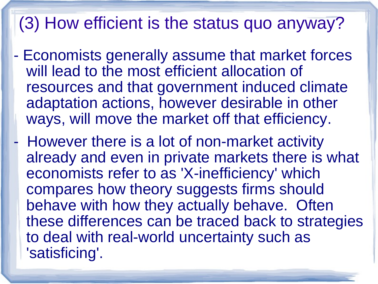## (3) How efficient is the status quo anyway?

- Economists generally assume that market forces will lead to the most efficient allocation of resources and that government induced climate adaptation actions, however desirable in other ways, will move the market off that efficiency.
	- However there is a lot of non-market activity already and even in private markets there is what economists refer to as 'X-inefficiency' which compares how theory suggests firms should behave with how they actually behave. Often these differences can be traced back to strategies to deal with real-world uncertainty such as 'satisficing'.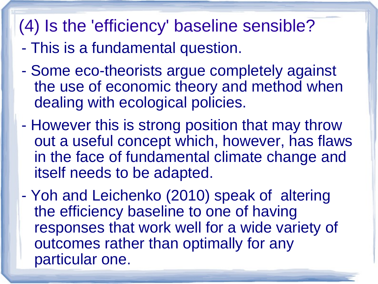## (4) Is the 'efficiency' baseline sensible?

- This is a fundamental question.
- Some eco-theorists argue completely against the use of economic theory and method when dealing with ecological policies.
- However this is strong position that may throw out a useful concept which, however, has flaws in the face of fundamental climate change and itself needs to be adapted.
- Yoh and Leichenko (2010) speak of altering the efficiency baseline to one of having responses that work well for a wide variety of outcomes rather than optimally for any particular one.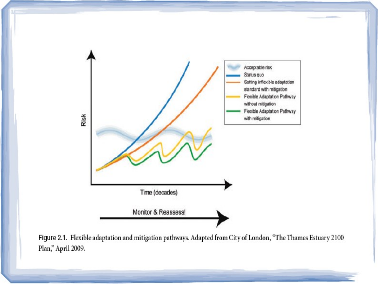

Figure 2.1. Flexible adaptation and mitigation pathways. Adapted from City of London, "The Thames Estuary 2100 Plan," April 2009.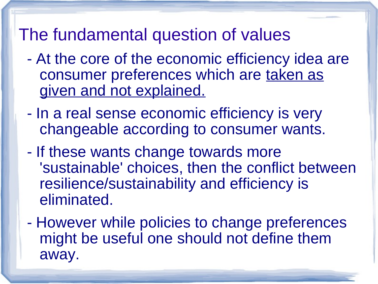## The fundamental question of values

- At the core of the economic efficiency idea are consumer preferences which are taken as given and not explained.
- In a real sense economic efficiency is very changeable according to consumer wants.
- If these wants change towards more 'sustainable' choices, then the conflict between resilience/sustainability and efficiency is eliminated.
- However while policies to change preferences might be useful one should not define them away.